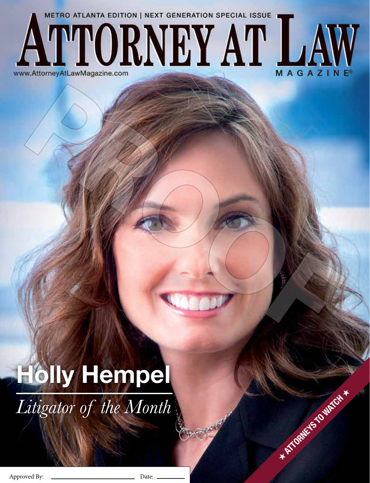## **METRO ATLANTA EDITION | NEXT GENERATION SPECIAL ISSUE TTORNEY AT LA** www.AttorneyAtLawMagazine.com MAGAZ

## **Holly Hempel**

*Litigator of the Month*

Approved By: Date:

**H ATTORNEYS TO WATCH +**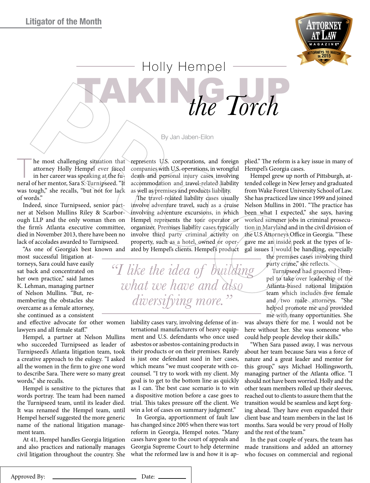

 Holly Hempel the Torch

By Jan Jaben-Eilon

he most challenging situation that attorney Holly Hempel ever faced in her career was speaking at the funeral of her mentor, Sara S. Turnipseed. "It was tough," she recalls, "but not for lack of words."

Indeed, since Turnipseed, senior partner at Nelson Mullins Riley & Scarborough LLP and the only woman then on the firm's Atlanta executive committee, died in November 2013, there have been no lack of accolades awarded to Turnipseed.

"As one of Georgia's best known and most successful litigation attorneys, Sara could have easily sat back and concentrated on her own practice," said James K. Lehman, managing partner of Nelson Mullins. "But, remembering the obstacles she overcame as a female attorney, she continued as a consistent

and effective advocate for other women lawyers and all female staff."

Hempel, a partner at Nelson Mullins who succeeded Turnipseed as leader of Turnipseed's Atlanta litigation team, took a creative approach to the eulogy. "I asked all the women in the firm to give one word to describe Sara. There were so many great words," she recalls.

Hempel is sensitive to the pictures that words portray. The team had been named the Turnipseed team, until its leader died. It was renamed the Hempel team, until Hempel herself suggested the more generic name of the national litigation management team.

At 41, Hempel handles Georgia litigation and also practices and nationally manages civil litigation throughout the country. She

represents U.S. corporations, and foreign companies with U.S. operations, in wrongful death and personal injury cases involving accommodation and travel-related liability as well as premises and products liability.

The travel-related liability cases usually involve adventure travel, such as a cruise involving adventure excursions, in which Hempel represents the tour operator or organizer. Premises liability cases typically involve third party criminal activity on property, such as a hotel, owned or operated by Hempel's clients. Hempel's product

*"I like the idea of building what we have and also diversifying more."*

> liability cases vary, involving defense of international manufacturers of heavy equipment and U.S. defendants who once used asbestos or asbestos-containing products in their products or on their premises. Rarely is just one defendant sued in her cases, which means "we must cooperate with cocounsel. "I try to work with my client. My goal is to get to the bottom line as quickly as I can. The best case scenario is to win a dispositive motion before a case goes to trial. This takes pressure off the client. We win a lot of cases on summary judgment."

> In Georgia, apportionment of fault law has changed since 2005 when there was tort reform in Georgia, Hempel notes. "Many cases have gone to the court of appeals and Georgia Supreme Court to help determine what the reformed law is and how it is ap

plied." The reform is a key issue in many of Hempel's Georgia cases.

Hempel grew up north of Pittsburgh, attended college in New Jersey and graduated from Wake Forest University School of Law. She has practiced law since 1999 and joined Nelson Mullins in 2001. "The practice has been what I expected," she says, having worked summer jobs in criminal prosecution in Maryland and in the civil division of the U.S Attorneys Office in Georgia. "These gave me an inside peek at the types of legal issues I would be handling, especially

> the premises cases involving third party crime," she reflects.

> Turnipseed had groomed Hempel to take over leadership of the Atlanta-based national litigation team which includes five female and two male attorneys. "She helped promote me and provided me with many opportunities. She

was always there for me. I would not be here without her. She was someone who could help people develop their skills."

"When Sara passed away, I was nervous about her team because Sara was a force of nature and a great leader and mentor for this group," says Michael Hollingsworth, managing partner of the Atlanta office. "I should not have been worried. Holly and the other team members rolled up their sleeves, reached out to clients to assure them that the transition would be seamless and kept forging ahead. They have even expanded their client base and team members in the last 16 months. Sara would be very proud of Holly and the rest of the team."

In the past couple of years, the team has made transitions and added an attorney who focuses on commercial and regional

<sup>8</sup> <sup>|</sup> www.AttorneyAtLawMagazine.com Approved By: Date: